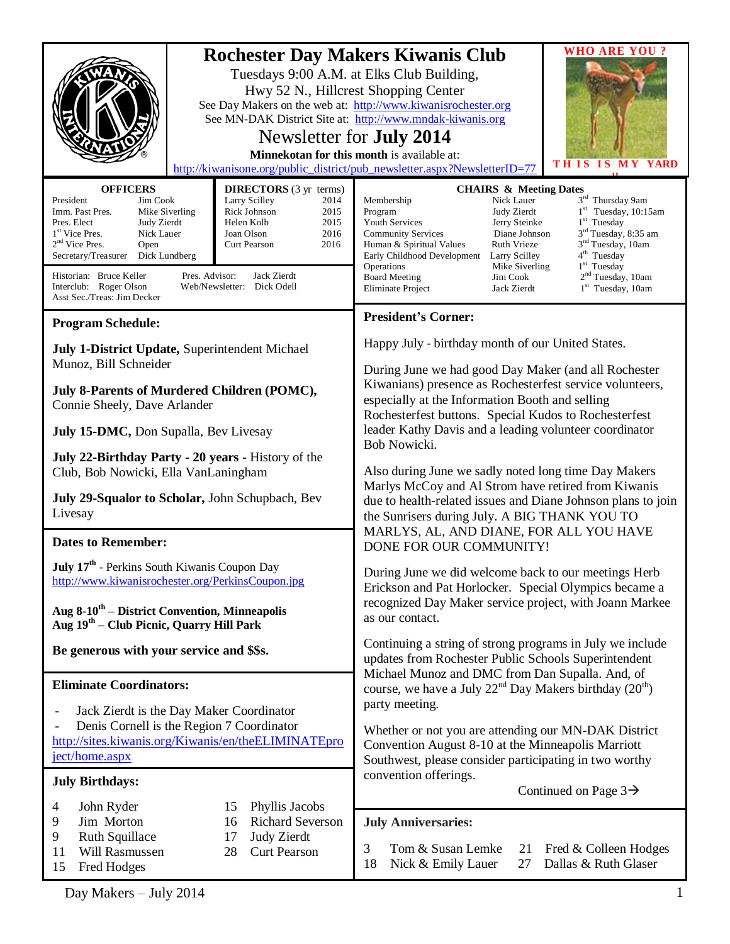| <b>OFFICERS</b><br><b>DIRECTORS</b> (3 yr terms)<br>President<br>Larry Scilley<br>Jim Cook<br>2014<br>Rick Johnson<br>2015<br>Imm. Past Pres.<br>Mike Siverling<br>2015<br>Pres. Elect<br>Judy Zierdt<br>Helen Kolb<br>1 <sup>st</sup> Vice Pres.<br>Nick Lauer<br>2016<br>Joan Olson<br>$2nd$ Vice Pres.<br>Open<br>Curt Pearson<br>2016<br>Dick Lundberg<br>Secretary/Treasurer                                                                                                                                                                                                                                                                     | <b>WHO ARE YOU?</b><br><b>Rochester Day Makers Kiwanis Club</b><br>Tuesdays 9:00 A.M. at Elks Club Building,<br>Hwy 52 N., Hillcrest Shopping Center<br>See Day Makers on the web at: http://www.kiwanisrochester.org<br>See MN-DAK District Site at: http://www.mndak-kiwanis.org<br>Newsletter for <b>July 2014</b><br>Minnekotan for this month is available at:<br>THIS IS MY YARD<br>http://kiwanisone.org/public_district/pub_newsletter.aspx?NewsletterID=77<br><b>CHAIRS &amp; Meeting Dates</b><br>3rd Thursday 9am<br>Membership<br>Nick Lauer<br>$1st$ Tuesday, 10:15am<br>Judy Zierdt<br>Program<br>$1st$ Tuesday<br>Youth Services<br>Jerry Steinke<br>3 <sup>rd</sup> Tuesday, 8:35 am<br>Diane Johnson<br><b>Community Services</b><br>3 <sup>nd</sup> Tuesday, 10am<br>Human & Spiritual Values<br>Ruth Vrieze<br>4 <sup>th</sup> Tuesday<br>Early Childhood Development<br>Larry Scilley |  |
|-------------------------------------------------------------------------------------------------------------------------------------------------------------------------------------------------------------------------------------------------------------------------------------------------------------------------------------------------------------------------------------------------------------------------------------------------------------------------------------------------------------------------------------------------------------------------------------------------------------------------------------------------------|-----------------------------------------------------------------------------------------------------------------------------------------------------------------------------------------------------------------------------------------------------------------------------------------------------------------------------------------------------------------------------------------------------------------------------------------------------------------------------------------------------------------------------------------------------------------------------------------------------------------------------------------------------------------------------------------------------------------------------------------------------------------------------------------------------------------------------------------------------------------------------------------------------------|--|
| Pres. Advisor:<br>Historian: Bruce Keller<br>Jack Zierdt<br>Interclub: Roger Olson<br>Web/Newsletter: Dick Odell<br>Asst Sec./Treas: Jim Decker                                                                                                                                                                                                                                                                                                                                                                                                                                                                                                       | 1 <sup>st</sup> Tuesday<br>Operations<br>Mike Siverling<br>2 <sup>nd</sup> Tuesday, 10am<br><b>Board Meeting</b><br>Jim Cook<br>$1st$ Tuesday, 10am<br><b>Eliminate Project</b><br>Jack Zierdt                                                                                                                                                                                                                                                                                                                                                                                                                                                                                                                                                                                                                                                                                                            |  |
| <b>Program Schedule:</b><br>July 1-District Update, Superintendent Michael<br>Munoz, Bill Schneider<br>July 8-Parents of Murdered Children (POMC),<br>Connie Sheely, Dave Arlander<br>July 15-DMC, Don Supalla, Bev Livesay<br>July 22-Birthday Party - 20 years - History of the<br>Club, Bob Nowicki, Ella VanLaningham<br>July 29-Squalor to Scholar, John Schupbach, Bev<br>Livesay<br><b>Dates to Remember:</b><br><b>July 17th</b> - Perkins South Kiwanis Coupon Day<br>http://www.kiwanisrochester.org/PerkinsCoupon.jpg<br>Aug 8-10 <sup>th</sup> – District Convention, Minneapolis<br>Aug 19 <sup>th</sup> – Club Picnic, Quarry Hill Park | <b>President's Corner:</b><br>Happy July - birthday month of our United States.<br>During June we had good Day Maker (and all Rochester<br>Kiwanians) presence as Rochesterfest service volunteers,<br>especially at the Information Booth and selling<br>Rochesterfest buttons. Special Kudos to Rochesterfest<br>leader Kathy Davis and a leading volunteer coordinator<br>Bob Nowicki.<br>Also during June we sadly noted long time Day Makers<br>Marlys McCoy and Al Strom have retired from Kiwanis<br>due to health-related issues and Diane Johnson plans to join<br>the Sunrisers during July. A BIG THANK YOU TO<br>MARLYS, AL, AND DIANE, FOR ALL YOU HAVE<br>DONE FOR OUR COMMUNITY!<br>During June we did welcome back to our meetings Herb<br>Erickson and Pat Horlocker. Special Olympics became a<br>recognized Day Maker service project, with Joann Markee<br>as our contact.            |  |
| Be generous with your service and \$\$s.<br><b>Eliminate Coordinators:</b><br>Jack Zierdt is the Day Maker Coordinator<br>Denis Cornell is the Region 7 Coordinator<br>http://sites.kiwanis.org/Kiwanis/en/theELIMINATEpro<br>ject/home.aspx<br><b>July Birthdays:</b>                                                                                                                                                                                                                                                                                                                                                                                | Continuing a string of strong programs in July we include<br>updates from Rochester Public Schools Superintendent<br>Michael Munoz and DMC from Dan Supalla. And, of<br>course, we have a July $22^{nd}$ Day Makers birthday $(20^{th})$<br>party meeting.<br>Whether or not you are attending our MN-DAK District<br>Convention August 8-10 at the Minneapolis Marriott<br>Southwest, please consider participating in two worthy<br>convention offerings.<br>Continued on Page $3\rightarrow$                                                                                                                                                                                                                                                                                                                                                                                                           |  |
| Phyllis Jacobs<br>John Ryder<br>15<br>4<br>Jim Morton<br><b>Richard Severson</b><br>9<br>16<br>Judy Zierdt<br>9<br><b>Ruth Squillace</b><br>17<br>Will Rasmussen<br><b>Curt Pearson</b><br>28<br>11<br>Fred Hodges<br>15                                                                                                                                                                                                                                                                                                                                                                                                                              | <b>July Anniversaries:</b><br>Tom & Susan Lemke<br>3<br>Fred & Colleen Hodges<br>21<br>Dallas & Ruth Glaser<br>Nick & Emily Lauer<br>27<br>18                                                                                                                                                                                                                                                                                                                                                                                                                                                                                                                                                                                                                                                                                                                                                             |  |

Day Makers – July 2014 1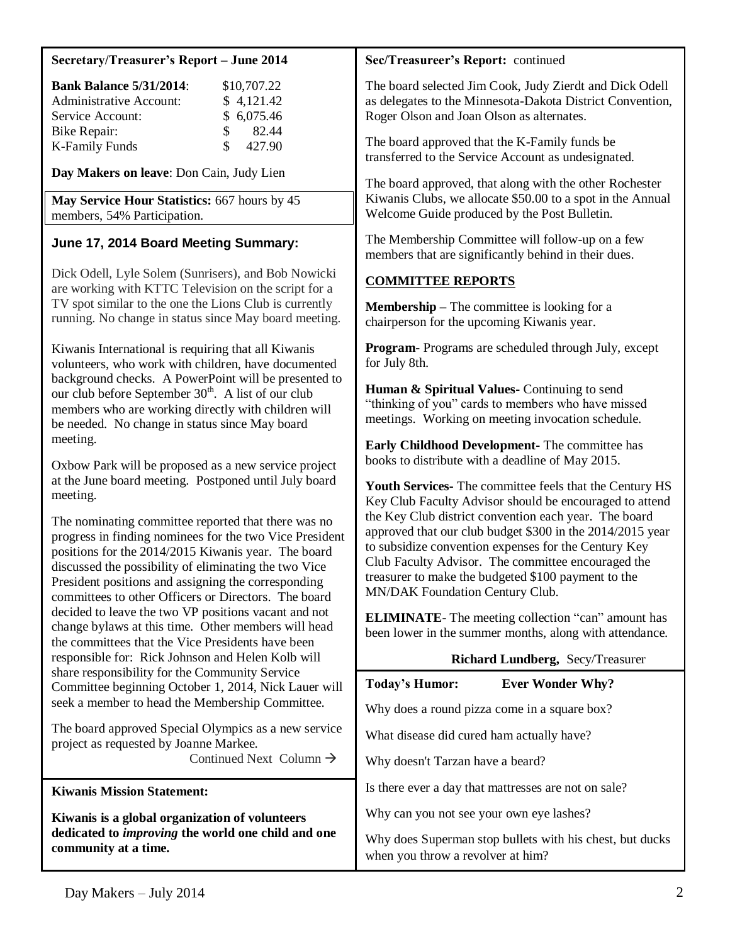#### **Secretary/Treasurer's Report – June 2014**

| <b>Bank Balance 5/31/2014:</b> |               | \$10,707.22 |
|--------------------------------|---------------|-------------|
| <b>Administrative Account:</b> |               | \$4,121.42  |
| Service Account:               |               | \$6,075.46  |
| Bike Repair:                   | $\mathcal{S}$ | 82.44       |
| <b>K-Family Funds</b>          | S.            | 427.90      |

**Day Makers on leave**: Don Cain, Judy Lien

**May Service Hour Statistics:** 667 hours by 45 members, 54% Participation.

## **June 17, 2014 Board Meeting Summary:**

Dick Odell, Lyle Solem (Sunrisers), and Bob Nowicki are working with KTTC Television on the script for a TV spot similar to the one the Lions Club is currently running. No change in status since May board meeting.

Kiwanis International is requiring that all Kiwanis volunteers, who work with children, have documented background checks. A PowerPoint will be presented to our club before September  $30<sup>th</sup>$ . A list of our club members who are working directly with children will be needed. No change in status since May board meeting.

Oxbow Park will be proposed as a new service project at the June board meeting. Postponed until July board meeting.

The nominating committee reported that there was no progress in finding nominees for the two Vice President positions for the 2014/2015 Kiwanis year. The board discussed the possibility of eliminating the two Vice President positions and assigning the corresponding committees to other Officers or Directors. The board decided to leave the two VP positions vacant and not change bylaws at this time. Other members will head the committees that the Vice Presidents have been responsible for: Rick Johnson and Helen Kolb will share responsibility for the Community Service Committee beginning October 1, 2014, Nick Lauer will seek a member to head the Membership Committee.

The board approved Special Olympics as a new service project as requested by Joanne Markee. Continued Next Column  $\rightarrow$ 

**Kiwanis Mission Statement:**

**Kiwanis is a global organization of volunteers dedicated to** *improving* **the world one child and one community at a time.**

### **Sec/Treasureer's Report:** continued

The board selected Jim Cook, Judy Zierdt and Dick Odell as delegates to the Minnesota-Dakota District Convention, Roger Olson and Joan Olson as alternates.

The board approved that the K-Family funds be transferred to the Service Account as undesignated.

The board approved, that along with the other Rochester Kiwanis Clubs, we allocate \$50.00 to a spot in the Annual Welcome Guide produced by the Post Bulletin.

The Membership Committee will follow-up on a few members that are significantly behind in their dues.

## **COMMITTEE REPORTS**

**Membership –** The committee is looking for a chairperson for the upcoming Kiwanis year.

**Program-** Programs are scheduled through July, except for July 8th.

**Human & Spiritual Values-** Continuing to send "thinking of you" cards to members who have missed meetings. Working on meeting invocation schedule.

**Early Childhood Development-** The committee has books to distribute with a deadline of May 2015.

**Youth Services-** The committee feels that the Century HS Key Club Faculty Advisor should be encouraged to attend the Key Club district convention each year. The board approved that our club budget \$300 in the 2014/2015 year to subsidize convention expenses for the Century Key Club Faculty Advisor. The committee encouraged the treasurer to make the budgeted \$100 payment to the MN/DAK Foundation Century Club.

**ELIMINATE**- The meeting collection "can" amount has been lower in the summer months, along with attendance.

| <b>Richard Lundberg, Secy/Treasurer</b>                                                       |
|-----------------------------------------------------------------------------------------------|
| <b>Today's Humor:</b><br><b>Ever Wonder Why?</b>                                              |
| Why does a round pizza come in a square box?                                                  |
| What disease did cured ham actually have?                                                     |
| Why doesn't Tarzan have a beard?                                                              |
| Is there ever a day that mattresses are not on sale?                                          |
| Why can you not see your own eye lashes?                                                      |
| Why does Superman stop bullets with his chest, but ducks<br>when you throw a revolver at him? |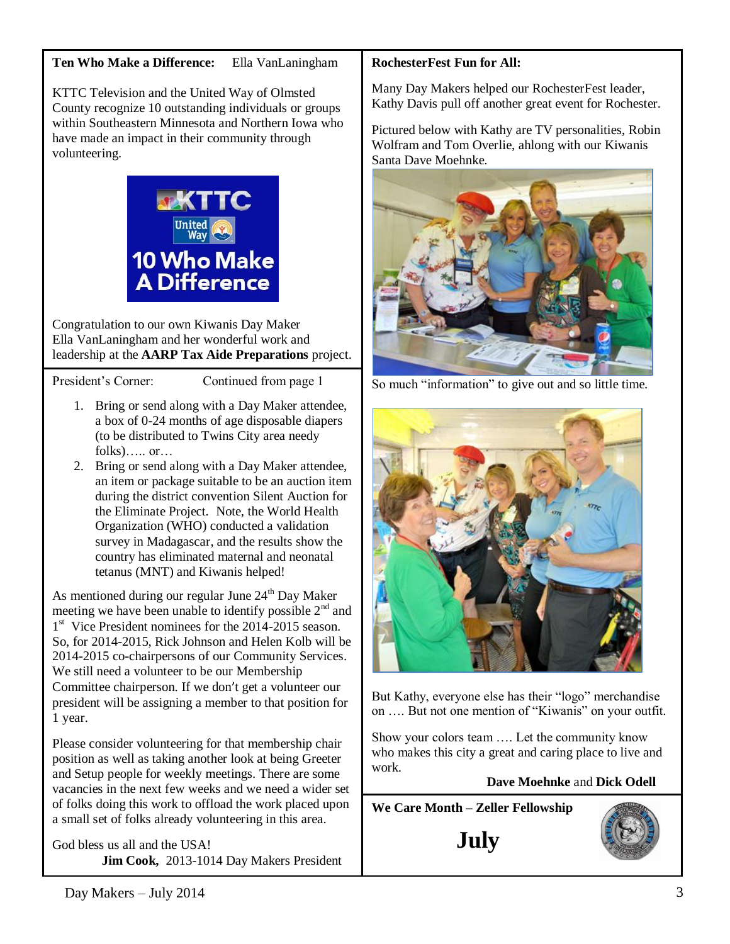KTTC Television and the United Way of Olmsted County recognize 10 outstanding individuals or groups within Southeastern Minnesota and Northern Iowa who have made an impact in their community through volunteering.



Congratulation to our own Kiwanis Day Maker Ella VanLaningham and her wonderful work and leadership at the **AARP Tax Aide Preparations** project.

President's Corner: Continued from page 1

- 1. Bring or send along with a Day Maker attendee, a box of 0-24 months of age disposable diapers (to be distributed to Twins City area needy  $fols$ )..... or…
- 2. Bring or send along with a Day Maker attendee, an item or package suitable to be an auction item during the district convention Silent Auction for the Eliminate Project. Note, the World Health Organization (WHO) conducted a validation survey in Madagascar, and the results show the country has eliminated maternal and neonatal tetanus (MNT) and Kiwanis helped!

As mentioned during our regular June 24<sup>th</sup> Day Maker meeting we have been unable to identify possible  $2<sup>nd</sup>$  and 1<sup>st</sup> Vice President nominees for the 2014-2015 season. So, for 2014-2015, Rick Johnson and Helen Kolb will be 2014-2015 co-chairpersons of our Community Services. We still need a volunteer to be our Membership Committee chairperson. If we don't get a volunteer our president will be assigning a member to that position for 1 year.

Please consider volunteering for that membership chair position as well as taking another look at being Greeter and Setup people for weekly meetings. There are some vacancies in the next few weeks and we need a wider set of folks doing this work to offload the work placed upon a small set of folks already volunteering in this area.

God bless us all and the USA!  **Jim Cook,** 2013-1014 Day Makers President

# **RochesterFest Fun for All:**

Many Day Makers helped our RochesterFest leader, Kathy Davis pull off another great event for Rochester.

Pictured below with Kathy are TV personalities, Robin Wolfram and Tom Overlie, ahlong with our Kiwanis Santa Dave Moehnke.



So much "information" to give out and so little time.



But Kathy, everyone else has their "logo" merchandise on …. But not one mention of "Kiwanis" on your outfit.

Show your colors team …. Let the community know who makes this city a great and caring place to live and work.

# **Dave Moehnke** and **Dick Odell**

**We Care Month – Zeller Fellowship**

**July**